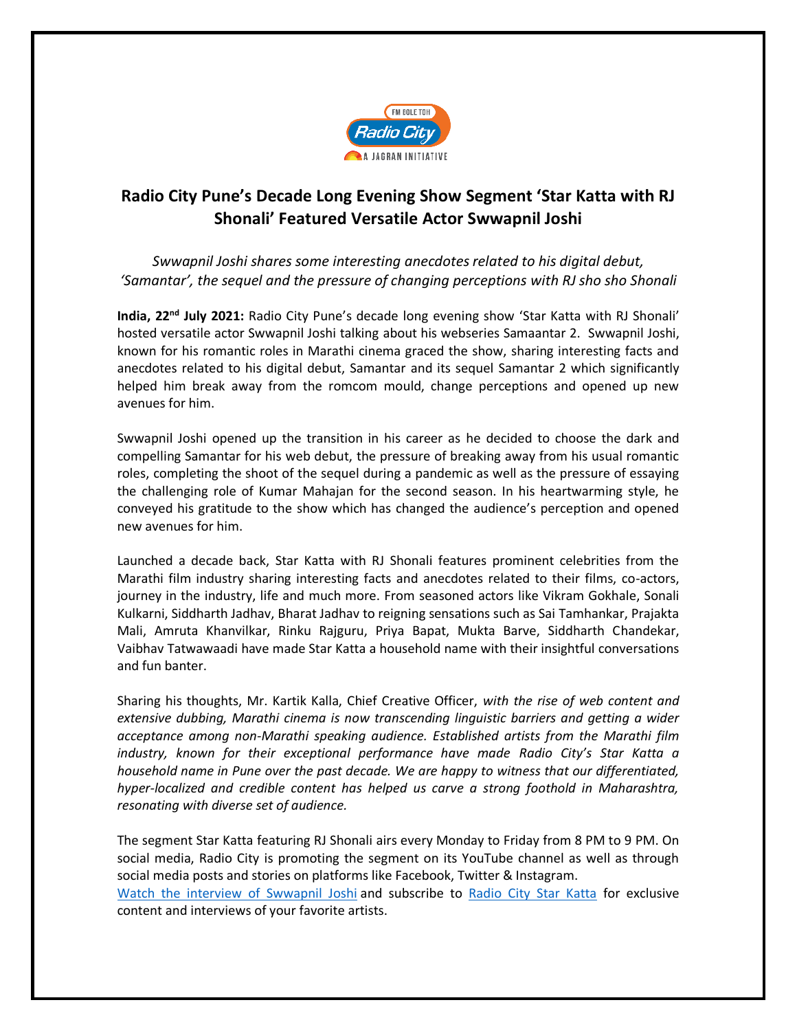

## **Radio City Pune's Decade Long Evening Show Segment 'Star Katta with RJ Shonali' Featured Versatile Actor Swwapnil Joshi**

*Swwapnil Joshi shares some interesting anecdotes related to his digital debut, 'Samantar', the sequel and the pressure of changing perceptions with RJ sho sho Shonali*

India, 22<sup>nd</sup> July 2021: Radio City Pune's decade long evening show 'Star Katta with RJ Shonali' hosted versatile actor Swwapnil Joshi talking about his webseries Samaantar 2. Swwapnil Joshi, known for his romantic roles in Marathi cinema graced the show, sharing interesting facts and anecdotes related to his digital debut, Samantar and its sequel Samantar 2 which significantly helped him break away from the romcom mould, change perceptions and opened up new avenues for him.

Swwapnil Joshi opened up the transition in his career as he decided to choose the dark and compelling Samantar for his web debut, the pressure of breaking away from his usual romantic roles, completing the shoot of the sequel during a pandemic as well as the pressure of essaying the challenging role of Kumar Mahajan for the second season. In his heartwarming style, he conveyed his gratitude to the show which has changed the audience's perception and opened new avenues for him.

Launched a decade back, Star Katta with RJ Shonali features prominent celebrities from the Marathi film industry sharing interesting facts and anecdotes related to their films, co-actors, journey in the industry, life and much more. From seasoned actors like Vikram Gokhale, Sonali Kulkarni, Siddharth Jadhav, Bharat Jadhav to reigning sensations such as Sai Tamhankar, Prajakta Mali, Amruta Khanvilkar, Rinku Rajguru, Priya Bapat, Mukta Barve, Siddharth Chandekar, Vaibhav Tatwawaadi have made Star Katta a household name with their insightful conversations and fun banter.

Sharing his thoughts, Mr. Kartik Kalla, Chief Creative Officer, *with the rise of web content and extensive dubbing, Marathi cinema is now transcending linguistic barriers and getting a wider acceptance among non-Marathi speaking audience. Established artists from the Marathi film industry, known for their exceptional performance have made Radio City's Star Katta a household name in Pune over the past decade. We are happy to witness that our differentiated, hyper-localized and credible content has helped us carve a strong foothold in Maharashtra, resonating with diverse set of audience.*

The segment Star Katta featuring RJ Shonali airs every Monday to Friday from 8 PM to 9 PM. On social media, Radio City is promoting the segment on its YouTube channel as well as through social media posts and stories on platforms like Facebook, Twitter & Instagram. Watch the interview of Swwapnil Joshi and subscribe to Radio City Star Katta for exclusive content and interviews of your favorite artists.